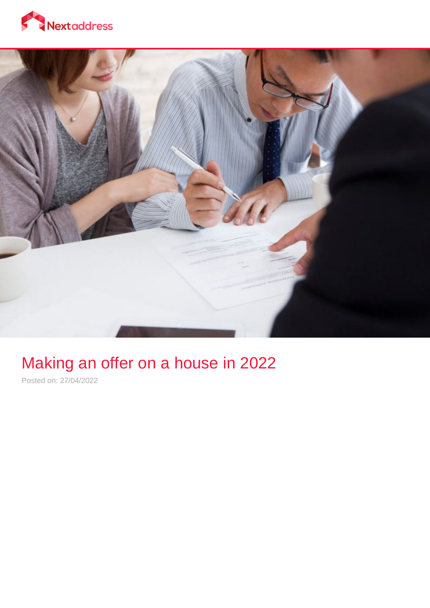



# Making an offer on a house in 2022

Posted on: 27/04/2022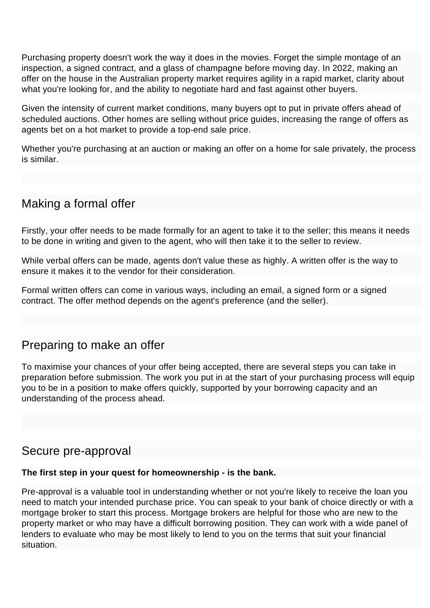Purchasing property doesn't work the way it does in the movies. Forget the simple montage of an inspection, a signed contract, and a glass of champagne before moving day. In 2022, making an offer on the house in the Australian property market requires agility in a rapid market, clarity about what you're looking for, and the ability to negotiate hard and fast against other buyers.

Given the intensity of current market conditions, many buyers opt to put in private offers ahead of scheduled auctions. Other homes are selling without price guides, increasing the range of offers as agents bet on a hot market to provide a top-end sale price.

Whether you're purchasing at an auction or making an offer on a home for sale privately, the process is similar.

# Making a formal offer

Firstly, your offer needs to be made formally for an agent to take it to the seller; this means it needs to be done in writing and given to the agent, who will then take it to the seller to review.

While verbal offers can be made, agents don't value these as highly. A written offer is the way to ensure it makes it to the vendor for their consideration.

Formal written offers can come in various ways, including an email, a signed form or a signed contract. The offer method depends on the agent's preference (and the seller).

# Preparing to make an offer

To maximise your chances of your offer being accepted, there are several steps you can take in preparation before submission. The work you put in at the start of your purchasing process will equip you to be in a position to make offers quickly, supported by your borrowing capacity and an understanding of the process ahead.

#### Secure pre-approval

#### **The first step in your quest for homeownership - is the bank.**

Pre-approval is a valuable tool in understanding whether or not you're likely to receive the loan you need to match your intended purchase price. You can speak to your bank of choice directly or with a mortgage broker to start this process. Mortgage brokers are helpful for those who are new to the property market or who may have a difficult borrowing position. They can work with a wide panel of lenders to evaluate who may be most likely to lend to you on the terms that suit your financial situation.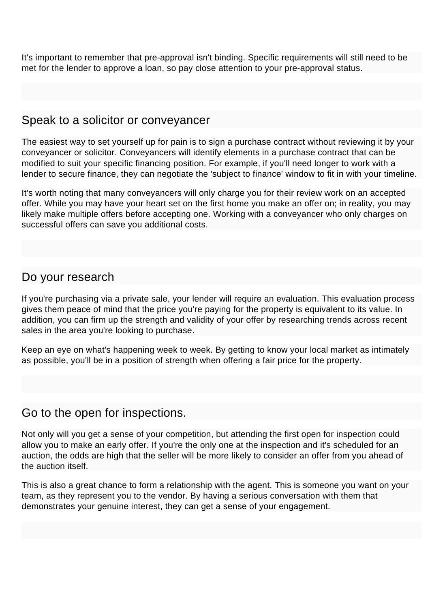It's important to remember that pre-approval isn't binding. Specific requirements will still need to be met for the lender to approve a loan, so pay close attention to your pre-approval status.

### Speak to a solicitor or conveyancer

The easiest way to set yourself up for pain is to sign a purchase contract without reviewing it by your conveyancer or solicitor. Conveyancers will identify elements in a purchase contract that can be modified to suit your specific financing position. For example, if you'll need longer to work with a lender to secure finance, they can negotiate the 'subject to finance' window to fit in with your timeline.

It's worth noting that many conveyancers will only charge you for their review work on an accepted offer. While you may have your heart set on the first home you make an offer on; in reality, you may likely make multiple offers before accepting one. Working with a conveyancer who only charges on successful offers can save you additional costs.

#### Do your research

If you're purchasing via a private sale, your lender will require an evaluation. This evaluation process gives them peace of mind that the price you're paying for the property is equivalent to its value. In addition, you can firm up the strength and validity of your offer by researching trends across recent sales in the area you're looking to purchase.

Keep an eye on what's happening week to week. By getting to know your local market as intimately as possible, you'll be in a position of strength when offering a fair price for the property.

#### Go to the open for inspections.

Not only will you get a sense of your competition, but attending the first open for inspection could allow you to make an early offer. If you're the only one at the inspection and it's scheduled for an auction, the odds are high that the seller will be more likely to consider an offer from you ahead of the auction itself.

This is also a great chance to form a relationship with the agent. This is someone you want on your team, as they represent you to the vendor. By having a serious conversation with them that demonstrates your genuine interest, they can get a sense of your engagement.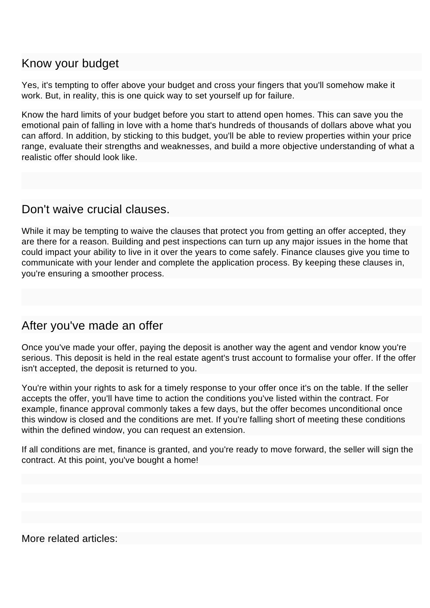# Know your budget

Yes, it's tempting to offer above your budget and cross your fingers that you'll somehow make it work. But, in reality, this is one quick way to set yourself up for failure.

Know the hard limits of your budget before you start to attend open homes. This can save you the emotional pain of falling in love with a home that's hundreds of thousands of dollars above what you can afford. In addition, by sticking to this budget, you'll be able to review properties within your price range, evaluate their strengths and weaknesses, and build a more objective understanding of what a realistic offer should look like.

#### Don't waive crucial clauses.

While it may be tempting to waive the clauses that protect you from getting an offer accepted, they are there for a reason. Building and pest inspections can turn up any major issues in the home that could impact your ability to live in it over the years to come safely. Finance clauses give you time to communicate with your lender and complete the application process. By keeping these clauses in, you're ensuring a smoother process.

# After you've made an offer

Once you've made your offer, paying the deposit is another way the agent and vendor know you're serious. This deposit is held in the real estate agent's trust account to formalise your offer. If the offer isn't accepted, the deposit is returned to you.

You're within your rights to ask for a timely response to your offer once it's on the table. If the seller accepts the offer, you'll have time to action the conditions you've listed within the contract. For example, finance approval commonly takes a few days, but the offer becomes unconditional once this window is closed and the conditions are met. If you're falling short of meeting these conditions within the defined window, you can request an extension.

If all conditions are met, finance is granted, and you're ready to move forward, the seller will sign the contract. At this point, you've bought a home!

More related articles: